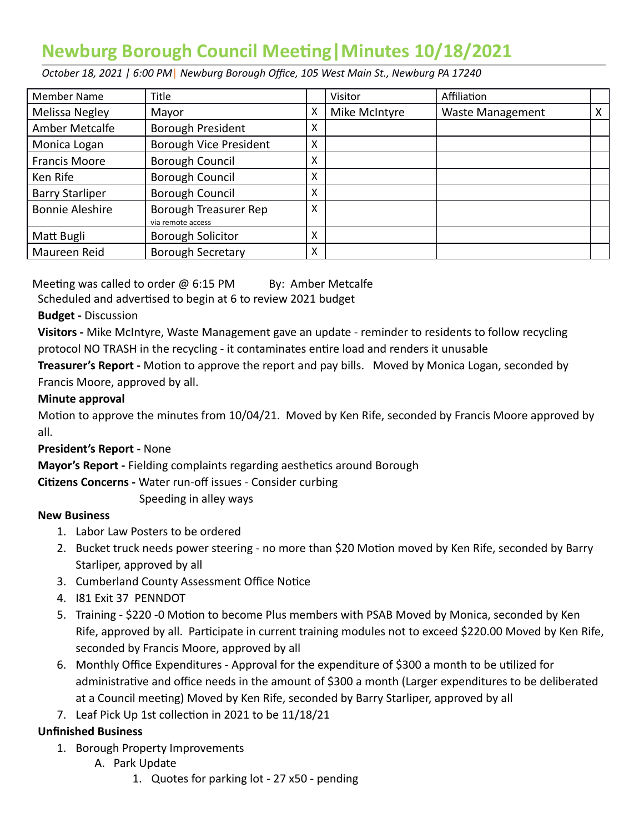# **Newburg Borough Council Meeting | Minutes 10/18/2021**

 *October 18, 2021 | 6:00 PM* | *Newburg Borough Office, 105 West Main St., Newburg PA 17240* 

| Member Name            | Title                                      |   | Visitor       | Affiliation             |   |
|------------------------|--------------------------------------------|---|---------------|-------------------------|---|
| Melissa Negley         | Mayor                                      | X | Mike McIntyre | <b>Waste Management</b> | х |
| Amber Metcalfe         | Borough President                          | X |               |                         |   |
| Monica Logan           | <b>Borough Vice President</b>              | X |               |                         |   |
| <b>Francis Moore</b>   | Borough Council                            | X |               |                         |   |
| Ken Rife               | Borough Council                            | X |               |                         |   |
| <b>Barry Starliper</b> | Borough Council                            | X |               |                         |   |
| <b>Bonnie Aleshire</b> | Borough Treasurer Rep<br>via remote access | X |               |                         |   |
| Matt Bugli             | <b>Borough Solicitor</b>                   | X |               |                         |   |
| Maureen Reid           | <b>Borough Secretary</b>                   | X |               |                         |   |

Meeting was called to order  $\omega$  6:15 PM By: Amber Metcalfe

Scheduled and advertised to begin at 6 to review 2021 budget

#### **Budget -** Discussion

 **Visitors -** Mike McIntyre, Waste Management gave an update - reminder to residents to follow recycling protocol NO TRASH in the recycling - it contaminates entire load and renders it unusable

**Treasurer's Report** - Motion to approve the report and pay bills. Moved by Monica Logan, seconded by Francis Moore, approved by all.

#### **Minute approval**

Motion to approve the minutes from 10/04/21. Moved by Ken Rife, seconded by Francis Moore approved by all.

 **President's Report -** None

**Mayor's Report - Fielding complaints regarding aesthetics around Borough** 

**Citizens Concerns - Water run-off issues - Consider curbing** 

Speeding in alley ways

## **New Business**

- 1. Labor Law Posters to be ordered
- 2. Bucket truck needs power steering no more than \$20 Motion moved by Ken Rife, seconded by Barry Starliper, approved by all
- 3. Cumberland County Assessment Office Notice
- 4. I81 Exit 37 PENNDOT
- 5. Training \$220 -0 Motion to become Plus members with PSAB Moved by Monica, seconded by Ken Rife, approved by all. Participate in current training modules not to exceed \$220.00 Moved by Ken Rife, seconded by Francis Moore, approved by all
- 6. Monthly Office Expenditures Approval for the expenditure of \$300 a month to be utilized for administrative and office needs in the amount of \$300 a month (Larger expenditures to be deliberated at a Council meeting) Moved by Ken Rife, seconded by Barry Starliper, approved by all
- 7. Leaf Pick Up 1st collection in 2021 to be 11/18/21

## **Unfinished Business**

- 1. Borough Property Improvements
	- A. Park Update
		- 1. Quotes for parking lot 27 x50 pending